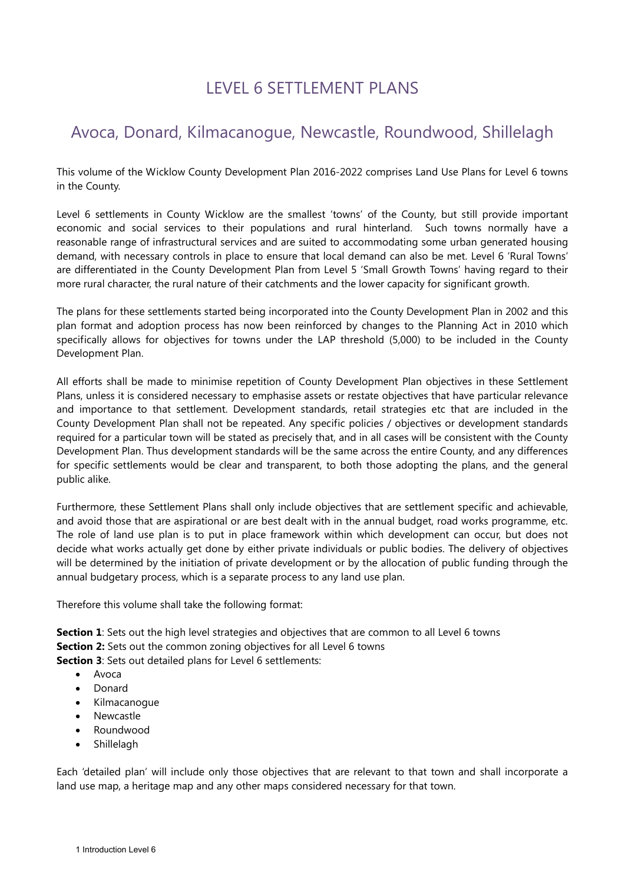# LEVEL 6 SETTLEMENT PLANS

# Avoca, Donard, Kilmacanogue, Newcastle, Roundwood, Shillelagh

This volume of the Wicklow County Development Plan 2016-2022 comprises Land Use Plans for Level 6 towns in the County.

Level 6 settlements in County Wicklow are the smallest 'towns' of the County, but still provide important economic and social services to their populations and rural hinterland. Such towns normally have a reasonable range of infrastructural services and are suited to accommodating some urban generated housing demand, with necessary controls in place to ensure that local demand can also be met. Level 6 'Rural Towns' are differentiated in the County Development Plan from Level 5 'Small Growth Towns' having regard to their more rural character, the rural nature of their catchments and the lower capacity for significant growth.

The plans for these settlements started being incorporated into the County Development Plan in 2002 and this plan format and adoption process has now been reinforced by changes to the Planning Act in 2010 which specifically allows for objectives for towns under the LAP threshold (5,000) to be included in the County Development Plan.

All efforts shall be made to minimise repetition of County Development Plan objectives in these Settlement Plans, unless it is considered necessary to emphasise assets or restate objectives that have particular relevance and importance to that settlement. Development standards, retail strategies etc that are included in the County Development Plan shall not be repeated. Any specific policies / objectives or development standards required for a particular town will be stated as precisely that, and in all cases will be consistent with the County Development Plan. Thus development standards will be the same across the entire County, and any differences for specific settlements would be clear and transparent, to both those adopting the plans, and the general public alike.

Furthermore, these Settlement Plans shall only include objectives that are settlement specific and achievable, and avoid those that are aspirational or are best dealt with in the annual budget, road works programme, etc. The role of land use plan is to put in place framework within which development can occur, but does not decide what works actually get done by either private individuals or public bodies. The delivery of objectives will be determined by the initiation of private development or by the allocation of public funding through the annual budgetary process, which is a separate process to any land use plan.

Therefore this volume shall take the following format:

**Section 1**: Sets out the high level strategies and objectives that are common to all Level 6 towns **Section 2:** Sets out the common zoning objectives for all Level 6 towns

**Section 3**: Sets out detailed plans for Level 6 settlements:

- Avoca
- Donard
- Kilmacanogue
- Newcastle
- Roundwood
- **Shillelagh**

<span id="page-0-0"></span>Each 'detailed plan' will include only those objectives that are relevant to that town and shall incorporate a land use map, a heritage map and any other maps considered necessary for that town.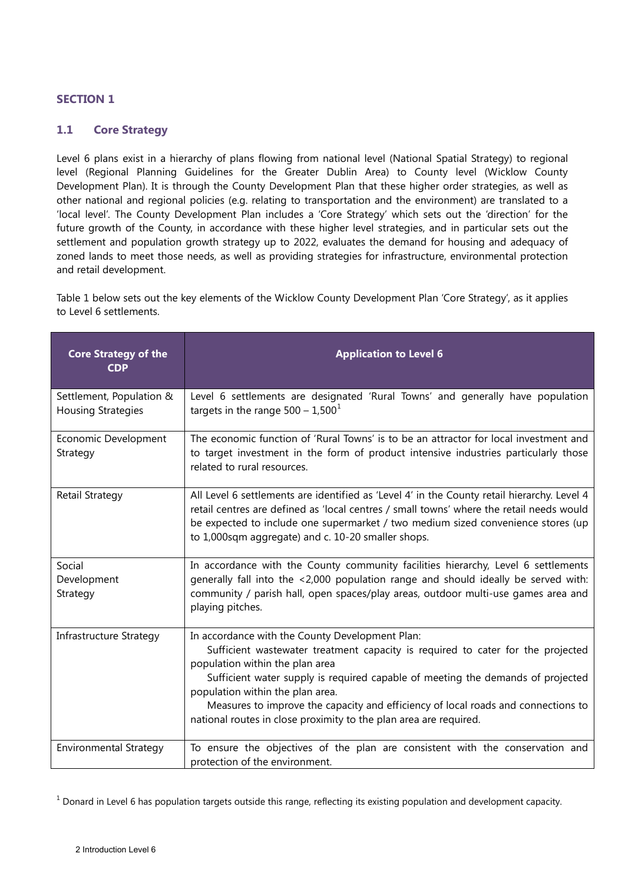# **SECTION 1**

# **1.1 Core Strategy**

Level 6 plans exist in a hierarchy of plans flowing from national level (National Spatial Strategy) to regional level (Regional Planning Guidelines for the Greater Dublin Area) to County level (Wicklow County Development Plan). It is through the County Development Plan that these higher order strategies, as well as other national and regional policies (e.g. relating to transportation and the environment) are translated to a 'local level'. The County Development Plan includes a 'Core Strategy' which sets out the 'direction' for the future growth of the County, in accordance with these higher level strategies, and in particular sets out the settlement and population growth strategy up to 2022, evaluates the demand for housing and adequacy of zoned lands to meet those needs, as well as providing strategies for infrastructure, environmental protection and retail development.

Table 1 below sets out the key elements of the Wicklow County Development Plan 'Core Strategy', as it applies to Level 6 settlements.

| <b>Core Strategy of the</b><br><b>CDP</b>             | <b>Application to Level 6</b>                                                                                                                                                                                                                                                                                                                                                                                                                          |
|-------------------------------------------------------|--------------------------------------------------------------------------------------------------------------------------------------------------------------------------------------------------------------------------------------------------------------------------------------------------------------------------------------------------------------------------------------------------------------------------------------------------------|
| Settlement, Population &<br><b>Housing Strategies</b> | Level 6 settlements are designated 'Rural Towns' and generally have population<br>targets in the range $500 - 1,500^1$                                                                                                                                                                                                                                                                                                                                 |
| Economic Development<br>Strategy                      | The economic function of 'Rural Towns' is to be an attractor for local investment and<br>to target investment in the form of product intensive industries particularly those<br>related to rural resources.                                                                                                                                                                                                                                            |
| Retail Strategy                                       | All Level 6 settlements are identified as 'Level 4' in the County retail hierarchy. Level 4<br>retail centres are defined as 'local centres / small towns' where the retail needs would<br>be expected to include one supermarket / two medium sized convenience stores (up<br>to 1,000sqm aggregate) and c. 10-20 smaller shops.                                                                                                                      |
| Social<br>Development<br>Strategy                     | In accordance with the County community facilities hierarchy, Level 6 settlements<br>generally fall into the <2,000 population range and should ideally be served with:<br>community / parish hall, open spaces/play areas, outdoor multi-use games area and<br>playing pitches.                                                                                                                                                                       |
| <b>Infrastructure Strategy</b>                        | In accordance with the County Development Plan:<br>Sufficient wastewater treatment capacity is required to cater for the projected<br>population within the plan area<br>Sufficient water supply is required capable of meeting the demands of projected<br>population within the plan area.<br>Measures to improve the capacity and efficiency of local roads and connections to<br>national routes in close proximity to the plan area are required. |
| <b>Environmental Strategy</b>                         | To ensure the objectives of the plan are consistent with the conservation and<br>protection of the environment.                                                                                                                                                                                                                                                                                                                                        |

<span id="page-1-0"></span> $1$  Donard in Level 6 has population targets outside this range, reflecting its existing population and development capacity.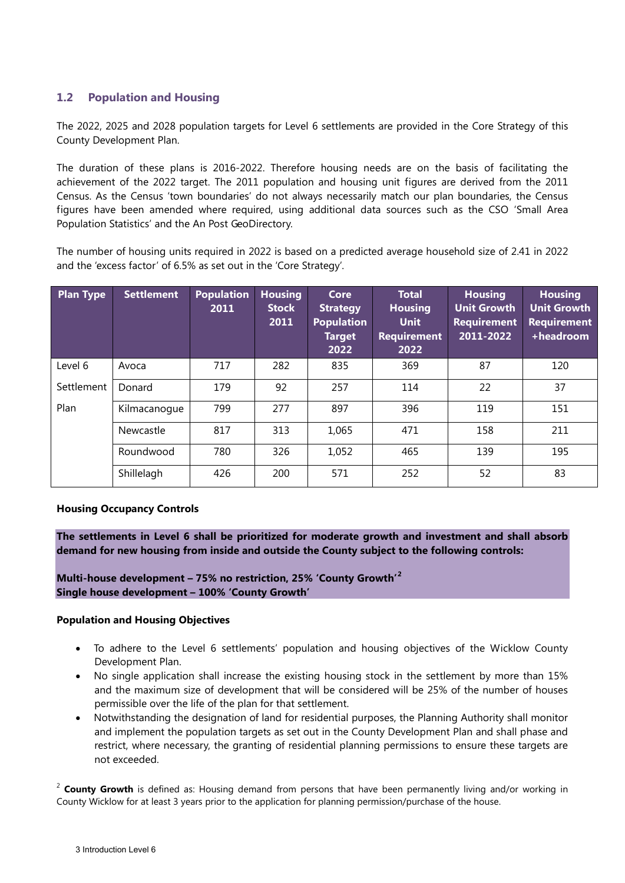# **1.2 Population and Housing**

The 2022, 2025 and 2028 population targets for Level 6 settlements are provided in the Core Strategy of this County Development Plan.

The duration of these plans is 2016-2022. Therefore housing needs are on the basis of facilitating the achievement of the 2022 target. The 2011 population and housing unit figures are derived from the 2011 Census. As the Census 'town boundaries' do not always necessarily match our plan boundaries, the Census figures have been amended where required, using additional data sources such as the CSO 'Small Area Population Statistics' and the An Post GeoDirectory.

The number of housing units required in 2022 is based on a predicted average household size of 2.41 in 2022 and the 'excess factor' of 6.5% as set out in the 'Core Strategy'.

| <b>Plan Type</b> | <b>Settlement</b> | <b>Population</b><br>2011 | <b>Housing</b><br><b>Stock</b><br>2011 | Core<br><b>Strategy</b><br><b>Population</b><br><b>Target</b><br>2022 | <b>Total</b><br><b>Housing</b><br><b>Unit</b><br><b>Requirement</b><br>2022 | <b>Housing</b><br><b>Unit Growth</b><br><b>Requirement</b><br>2011-2022 | <b>Housing</b><br><b>Unit Growth</b><br><b>Requirement</b><br>+headroom |
|------------------|-------------------|---------------------------|----------------------------------------|-----------------------------------------------------------------------|-----------------------------------------------------------------------------|-------------------------------------------------------------------------|-------------------------------------------------------------------------|
| Level 6          | Avoca             | 717                       | 282                                    | 835                                                                   | 369                                                                         | 87                                                                      | 120                                                                     |
| Settlement       | Donard            | 179                       | 92                                     | 257                                                                   | 114                                                                         | 22                                                                      | 37                                                                      |
| Plan             | Kilmacanoque      | 799                       | 277                                    | 897                                                                   | 396                                                                         | 119                                                                     | 151                                                                     |
|                  | Newcastle         | 817                       | 313                                    | 1,065                                                                 | 471                                                                         | 158                                                                     | 211                                                                     |
|                  | Roundwood         | 780                       | 326                                    | 1,052                                                                 | 465                                                                         | 139                                                                     | 195                                                                     |
|                  | Shillelagh        | 426                       | 200                                    | 571                                                                   | 252                                                                         | 52                                                                      | 83                                                                      |

# **Housing Occupancy Controls**

**The settlements in Level 6 shall be prioritized for moderate growth and investment and shall absorb demand for new housing from inside and outside the County subject to the following controls:**

**Multi-house development – 75% no restriction, 25% 'County Growth' [2](#page-1-0) Single house development – 100% 'County Growth'** 

## **Population and Housing Objectives**

- To adhere to the Level 6 settlements' population and housing objectives of the Wicklow County Development Plan.
- No single application shall increase the existing housing stock in the settlement by more than 15% and the maximum size of development that will be considered will be 25% of the number of houses permissible over the life of the plan for that settlement.
- Notwithstanding the designation of land for residential purposes, the Planning Authority shall monitor and implement the population targets as set out in the County Development Plan and shall phase and restrict, where necessary, the granting of residential planning permissions to ensure these targets are not exceeded.

<sup>2</sup> County Growth is defined as: Housing demand from persons that have been permanently living and/or working in County Wicklow for at least 3 years prior to the application for planning permission/purchase of the house.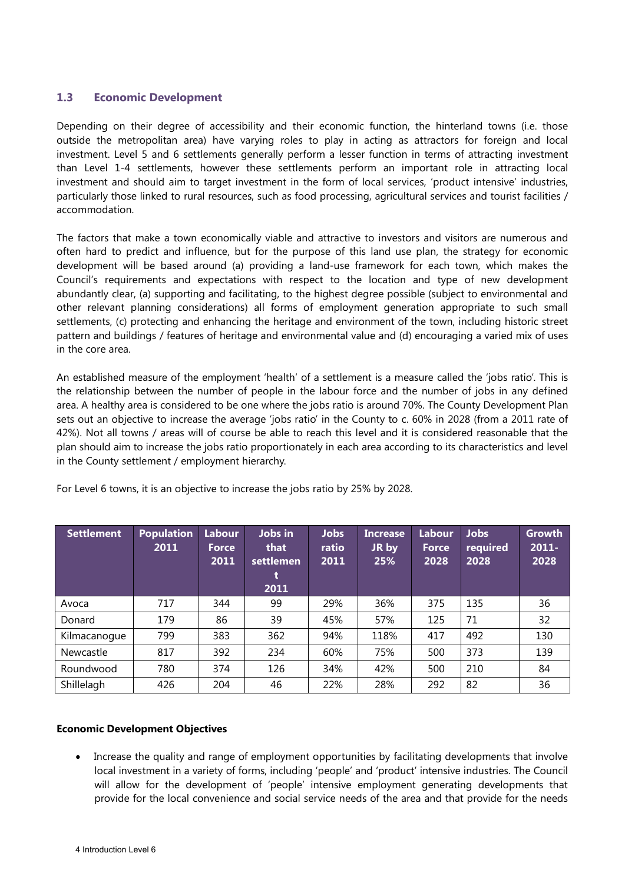# **1.3 Economic Development**

Depending on their degree of accessibility and their economic function, the hinterland towns (i.e. those outside the metropolitan area) have varying roles to play in acting as attractors for foreign and local investment. Level 5 and 6 settlements generally perform a lesser function in terms of attracting investment than Level 1-4 settlements, however these settlements perform an important role in attracting local investment and should aim to target investment in the form of local services, 'product intensive' industries, particularly those linked to rural resources, such as food processing, agricultural services and tourist facilities / accommodation.

The factors that make a town economically viable and attractive to investors and visitors are numerous and often hard to predict and influence, but for the purpose of this land use plan, the strategy for economic development will be based around (a) providing a land-use framework for each town, which makes the Council's requirements and expectations with respect to the location and type of new development abundantly clear, (a) supporting and facilitating, to the highest degree possible (subject to environmental and other relevant planning considerations) all forms of employment generation appropriate to such small settlements, (c) protecting and enhancing the heritage and environment of the town, including historic street pattern and buildings / features of heritage and environmental value and (d) encouraging a varied mix of uses in the core area.

An established measure of the employment 'health' of a settlement is a measure called the 'jobs ratio'. This is the relationship between the number of people in the labour force and the number of jobs in any defined area. A healthy area is considered to be one where the jobs ratio is around 70%. The County Development Plan sets out an objective to increase the average 'jobs ratio' in the County to c. 60% in 2028 (from a 2011 rate of 42%). Not all towns / areas will of course be able to reach this level and it is considered reasonable that the plan should aim to increase the jobs ratio proportionately in each area according to its characteristics and level in the County settlement / employment hierarchy.

| <b>Settlement</b> | <b>Population</b><br>2011 | Labour<br><b>Force</b><br>2011 | Jobs in<br>that<br>settlemen<br>t<br>2011 | <b>Jobs</b><br>ratio<br>2011 | <b>Increase</b><br>JR by<br>25% | <b>Labour</b><br><b>Force</b><br>2028 | <b>Jobs</b><br>required<br>2028 | <b>Growth</b><br>$2011 -$<br>2028 |
|-------------------|---------------------------|--------------------------------|-------------------------------------------|------------------------------|---------------------------------|---------------------------------------|---------------------------------|-----------------------------------|
| Avoca             | 717                       | 344                            | 99                                        | 29%                          | 36%                             | 375                                   | 135                             | 36                                |
| Donard            | 179                       | 86                             | 39                                        | 45%                          | 57%                             | 125                                   | 71                              | 32                                |
| Kilmacanogue      | 799                       | 383                            | 362                                       | 94%                          | 118%                            | 417                                   | 492                             | 130                               |
| Newcastle         | 817                       | 392                            | 234                                       | 60%                          | 75%                             | 500                                   | 373                             | 139                               |
| Roundwood         | 780                       | 374                            | 126                                       | 34%                          | 42%                             | 500                                   | 210                             | 84                                |
| Shillelagh        | 426                       | 204                            | 46                                        | 22%                          | 28%                             | 292                                   | 82                              | 36                                |

For Level 6 towns, it is an objective to increase the jobs ratio by 25% by 2028.

# **Economic Development Objectives**

• Increase the quality and range of employment opportunities by facilitating developments that involve local investment in a variety of forms, including 'people' and 'product' intensive industries. The Council will allow for the development of 'people' intensive employment generating developments that provide for the local convenience and social service needs of the area and that provide for the needs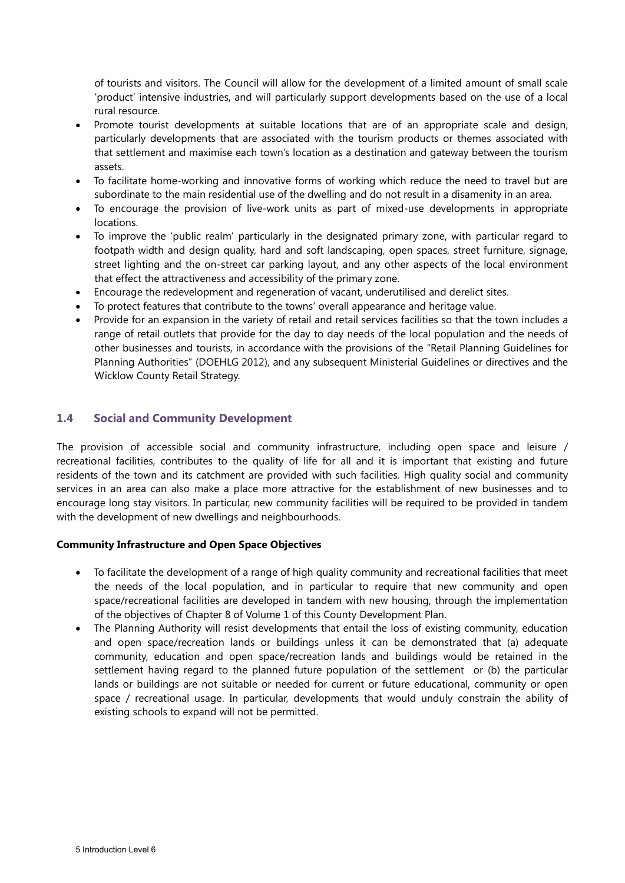of tourists and visitors. The Council will allow for the development of a limited amount of small scale 'product' intensive industries, and will particularly support developments based on the use of a local rural resource.

- Promote tourist developments at suitable locations that are of an appropriate scale and design, particularly developments that are associated with the tourism products or themes associated with that settlement and maximise each town's location as a destination and gateway between the tourism assets.
- To facilitate home-working and innovative forms of working which reduce the need to travel but are subordinate to the main residential use of the dwelling and do not result in a disamenity in an area.
- To encourage the provision of live-work units as part of mixed-use developments in appropriate locations.
- To improve the 'public realm' particularly in the designated primary zone, with particular regard to footpath width and design quality, hard and soft landscaping, open spaces, street furniture, signage, street lighting and the on-street car parking layout, and any other aspects of the local environment that effect the attractiveness and accessibility of the primary zone.
- Encourage the redevelopment and regeneration of vacant, underutilised and derelict sites.
- To protect features that contribute to the towns' overall appearance and heritage value.
- Provide for an expansion in the variety of retail and retail services facilities so that the town includes a range of retail outlets that provide for the day to day needs of the local population and the needs of other businesses and tourists, in accordance with the provisions of the "Retail Planning Guidelines for Planning Authorities" (DOEHLG 2012), and any subsequent Ministerial Guidelines or directives and the Wicklow County Retail Strategy.

# **1.4 Social and Community Development**

The provision of accessible social and community infrastructure, including open space and leisure / recreational facilities, contributes to the quality of life for all and it is important that existing and future residents of the town and its catchment are provided with such facilities. High quality social and community services in an area can also make a place more attractive for the establishment of new businesses and to encourage long stay visitors. In particular, new community facilities will be required to be provided in tandem with the development of new dwellings and neighbourhoods.

# **Community Infrastructure and Open Space Objectives**

- To facilitate the development of a range of high quality community and recreational facilities that meet the needs of the local population, and in particular to require that new community and open space/recreational facilities are developed in tandem with new housing, through the implementation of the objectives of Chapter 8 of Volume 1 of this County Development Plan.
- The Planning Authority will resist developments that entail the loss of existing community, education and open space/recreation lands or buildings unless it can be demonstrated that (a) adequate community, education and open space/recreation lands and buildings would be retained in the settlement having regard to the planned future population of the settlement or (b) the particular lands or buildings are not suitable or needed for current or future educational, community or open space / recreational usage. In particular, developments that would unduly constrain the ability of existing schools to expand will not be permitted.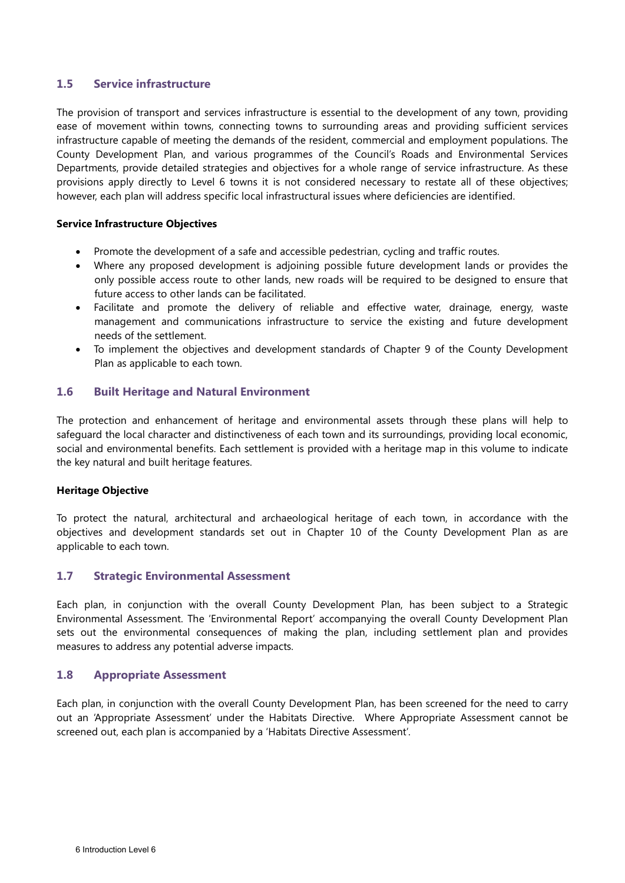# **1.5 Service infrastructure**

The provision of transport and services infrastructure is essential to the development of any town, providing ease of movement within towns, connecting towns to surrounding areas and providing sufficient services infrastructure capable of meeting the demands of the resident, commercial and employment populations. The County Development Plan, and various programmes of the Council's Roads and Environmental Services Departments, provide detailed strategies and objectives for a whole range of service infrastructure. As these provisions apply directly to Level 6 towns it is not considered necessary to restate all of these objectives; however, each plan will address specific local infrastructural issues where deficiencies are identified.

# **Service Infrastructure Objectives**

- Promote the development of a safe and accessible pedestrian, cycling and traffic routes.
- Where any proposed development is adjoining possible future development lands or provides the only possible access route to other lands, new roads will be required to be designed to ensure that future access to other lands can be facilitated.
- Facilitate and promote the delivery of reliable and effective water, drainage, energy, waste management and communications infrastructure to service the existing and future development needs of the settlement.
- To implement the objectives and development standards of Chapter 9 of the County Development Plan as applicable to each town.

# **1.6 Built Heritage and Natural Environment**

The protection and enhancement of heritage and environmental assets through these plans will help to safeguard the local character and distinctiveness of each town and its surroundings, providing local economic, social and environmental benefits. Each settlement is provided with a heritage map in this volume to indicate the key natural and built heritage features.

#### **Heritage Objective**

To protect the natural, architectural and archaeological heritage of each town, in accordance with the objectives and development standards set out in Chapter 10 of the County Development Plan as are applicable to each town.

# **1.7 Strategic Environmental Assessment**

Each plan, in conjunction with the overall County Development Plan, has been subject to a Strategic Environmental Assessment. The 'Environmental Report' accompanying the overall County Development Plan sets out the environmental consequences of making the plan, including settlement plan and provides measures to address any potential adverse impacts.

# **1.8 Appropriate Assessment**

Each plan, in conjunction with the overall County Development Plan, has been screened for the need to carry out an 'Appropriate Assessment' under the Habitats Directive. Where Appropriate Assessment cannot be screened out, each plan is accompanied by a 'Habitats Directive Assessment'.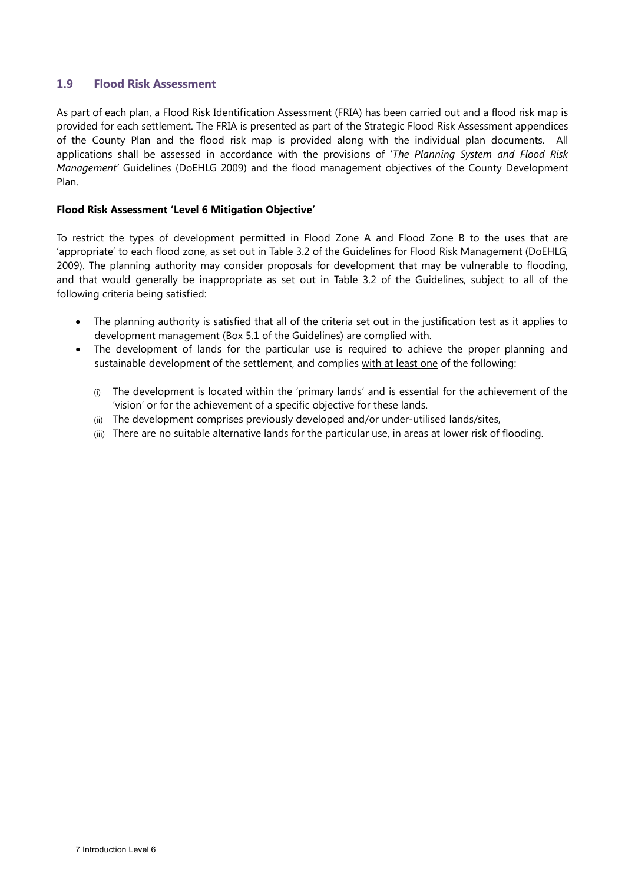# **1.9 Flood Risk Assessment**

As part of each plan, a Flood Risk Identification Assessment (FRIA) has been carried out and a flood risk map is provided for each settlement. The FRIA is presented as part of the Strategic Flood Risk Assessment appendices of the County Plan and the flood risk map is provided along with the individual plan documents. All applications shall be assessed in accordance with the provisions of '*The Planning System and Flood Risk Management'* Guidelines (DoEHLG 2009) and the flood management objectives of the County Development Plan.

# **Flood Risk Assessment 'Level 6 Mitigation Objective'**

To restrict the types of development permitted in Flood Zone A and Flood Zone B to the uses that are 'appropriate' to each flood zone, as set out in Table 3.2 of the Guidelines for Flood Risk Management (DoEHLG, 2009). The planning authority may consider proposals for development that may be vulnerable to flooding, and that would generally be inappropriate as set out in Table 3.2 of the Guidelines, subject to all of the following criteria being satisfied:

- The planning authority is satisfied that all of the criteria set out in the justification test as it applies to development management (Box 5.1 of the Guidelines) are complied with.
- The development of lands for the particular use is required to achieve the proper planning and sustainable development of the settlement, and complies with at least one of the following:
	- (i) The development is located within the 'primary lands' and is essential for the achievement of the 'vision' or for the achievement of a specific objective for these lands.
	- (ii) The development comprises previously developed and/or under-utilised lands/sites,
	- (iii) There are no suitable alternative lands for the particular use, in areas at lower risk of flooding.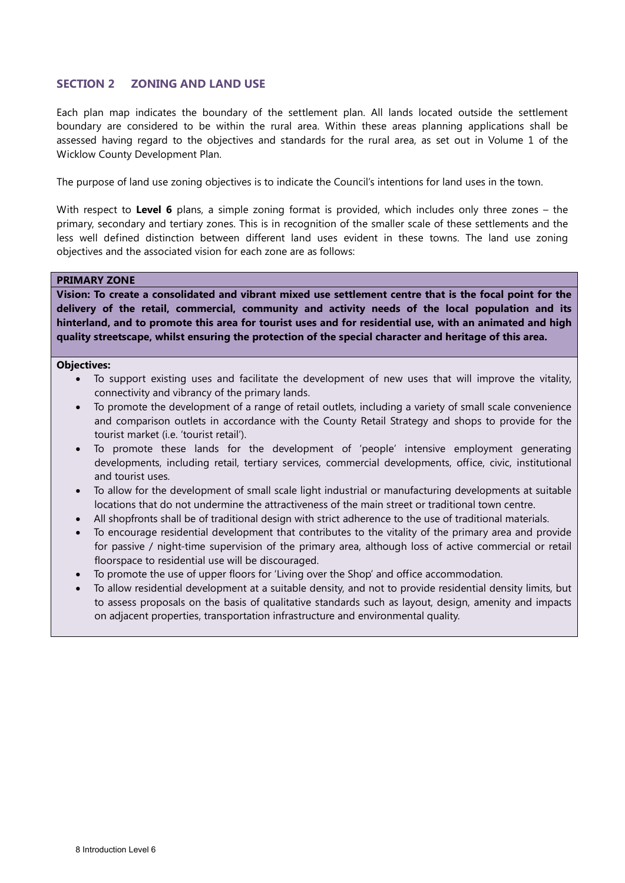# **SECTION 2 ZONING AND LAND USE**

Each plan map indicates the boundary of the settlement plan. All lands located outside the settlement boundary are considered to be within the rural area. Within these areas planning applications shall be assessed having regard to the objectives and standards for the rural area, as set out in Volume 1 of the Wicklow County Development Plan.

The purpose of land use zoning objectives is to indicate the Council's intentions for land uses in the town.

With respect to Level 6 plans, a simple zoning format is provided, which includes only three zones – the primary, secondary and tertiary zones. This is in recognition of the smaller scale of these settlements and the less well defined distinction between different land uses evident in these towns. The land use zoning objectives and the associated vision for each zone are as follows:

#### **PRIMARY ZONE**

**Vision: To create a consolidated and vibrant mixed use settlement centre that is the focal point for the delivery of the retail, commercial, community and activity needs of the local population and its hinterland, and to promote this area for tourist uses and for residential use, with an animated and high quality streetscape, whilst ensuring the protection of the special character and heritage of this area.** 

#### **Objectives:**

- To support existing uses and facilitate the development of new uses that will improve the vitality, connectivity and vibrancy of the primary lands.
- To promote the development of a range of retail outlets, including a variety of small scale convenience and comparison outlets in accordance with the County Retail Strategy and shops to provide for the tourist market (i.e. 'tourist retail').
- To promote these lands for the development of 'people' intensive employment generating developments, including retail, tertiary services, commercial developments, office, civic, institutional and tourist uses.
- To allow for the development of small scale light industrial or manufacturing developments at suitable locations that do not undermine the attractiveness of the main street or traditional town centre.
- All shopfronts shall be of traditional design with strict adherence to the use of traditional materials.
- To encourage residential development that contributes to the vitality of the primary area and provide for passive / night-time supervision of the primary area, although loss of active commercial or retail floorspace to residential use will be discouraged.
- To promote the use of upper floors for 'Living over the Shop' and office accommodation.
- To allow residential development at a suitable density, and not to provide residential density limits, but to assess proposals on the basis of qualitative standards such as layout, design, amenity and impacts on adjacent properties, transportation infrastructure and environmental quality.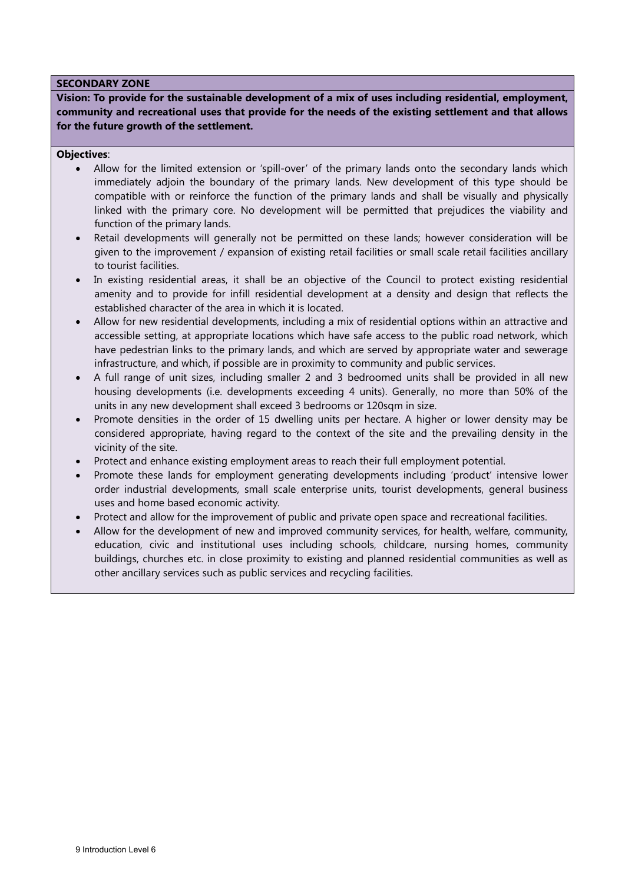## **SECONDARY ZONE**

**Vision: To provide for the sustainable development of a mix of uses including residential, employment, community and recreational uses that provide for the needs of the existing settlement and that allows for the future growth of the settlement.** 

## **Objectives**:

- Allow for the limited extension or 'spill-over' of the primary lands onto the secondary lands which immediately adjoin the boundary of the primary lands. New development of this type should be compatible with or reinforce the function of the primary lands and shall be visually and physically linked with the primary core. No development will be permitted that prejudices the viability and function of the primary lands.
- Retail developments will generally not be permitted on these lands; however consideration will be given to the improvement / expansion of existing retail facilities or small scale retail facilities ancillary to tourist facilities.
- In existing residential areas, it shall be an objective of the Council to protect existing residential amenity and to provide for infill residential development at a density and design that reflects the established character of the area in which it is located.
- Allow for new residential developments, including a mix of residential options within an attractive and accessible setting, at appropriate locations which have safe access to the public road network, which have pedestrian links to the primary lands, and which are served by appropriate water and sewerage infrastructure, and which, if possible are in proximity to community and public services.
- A full range of unit sizes, including smaller 2 and 3 bedroomed units shall be provided in all new housing developments (i.e. developments exceeding 4 units). Generally, no more than 50% of the units in any new development shall exceed 3 bedrooms or 120sqm in size.
- Promote densities in the order of 15 dwelling units per hectare. A higher or lower density may be considered appropriate, having regard to the context of the site and the prevailing density in the vicinity of the site.
- Protect and enhance existing employment areas to reach their full employment potential.
- Promote these lands for employment generating developments including 'product' intensive lower order industrial developments, small scale enterprise units, tourist developments, general business uses and home based economic activity.
- Protect and allow for the improvement of public and private open space and recreational facilities.
- Allow for the development of new and improved community services, for health, welfare, community, education, civic and institutional uses including schools, childcare, nursing homes, community buildings, churches etc. in close proximity to existing and planned residential communities as well as other ancillary services such as public services and recycling facilities.